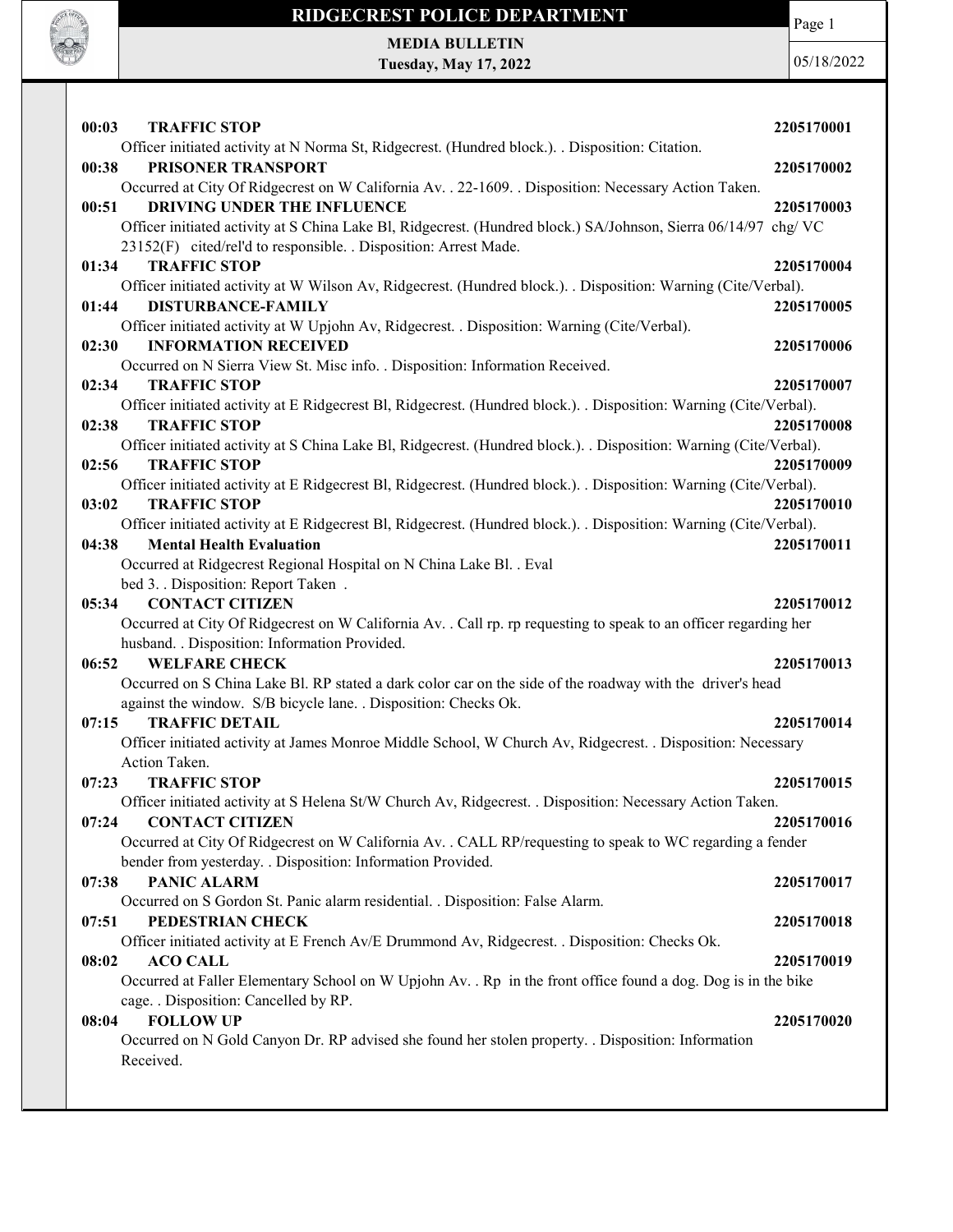

MEDIA BULLETIN Tuesday, May 17, 2022

**CALL OF OFFICER** 

| 00:03<br><b>TRAFFIC STOP</b>                   |                                                                                                                    | 2205170001 |
|------------------------------------------------|--------------------------------------------------------------------------------------------------------------------|------------|
|                                                | Officer initiated activity at N Norma St, Ridgecrest. (Hundred block.). . Disposition: Citation.                   |            |
| 00:38<br>PRISONER TRANSPORT                    |                                                                                                                    | 2205170002 |
|                                                | Occurred at City Of Ridgecrest on W California Av. . 22-1609. . Disposition: Necessary Action Taken.               |            |
| 00:51                                          | DRIVING UNDER THE INFLUENCE                                                                                        | 2205170003 |
|                                                | Officer initiated activity at S China Lake Bl, Ridgecrest. (Hundred block.) SA/Johnson, Sierra 06/14/97 chg/VC     |            |
|                                                | 23152(F) cited/rel'd to responsible. . Disposition: Arrest Made.                                                   |            |
| 01:34<br><b>TRAFFIC STOP</b>                   |                                                                                                                    | 2205170004 |
| <b>DISTURBANCE-FAMILY</b><br>01:44             | Officer initiated activity at W Wilson Av, Ridgecrest. (Hundred block.). . Disposition: Warning (Cite/Verbal).     | 2205170005 |
|                                                | Officer initiated activity at W Upjohn Av, Ridgecrest. . Disposition: Warning (Cite/Verbal).                       |            |
| <b>INFORMATION RECEIVED</b><br>02:30           |                                                                                                                    | 2205170006 |
|                                                | Occurred on N Sierra View St. Misc info. . Disposition: Information Received.                                      |            |
| <b>TRAFFIC STOP</b><br>02:34                   |                                                                                                                    | 2205170007 |
|                                                | Officer initiated activity at E Ridgecrest Bl, Ridgecrest. (Hundred block.). . Disposition: Warning (Cite/Verbal). |            |
| <b>TRAFFIC STOP</b><br>02:38                   |                                                                                                                    | 2205170008 |
|                                                | Officer initiated activity at S China Lake Bl, Ridgecrest. (Hundred block.). . Disposition: Warning (Cite/Verbal). |            |
| 02:56<br><b>TRAFFIC STOP</b>                   |                                                                                                                    | 2205170009 |
|                                                | Officer initiated activity at E Ridgecrest Bl, Ridgecrest. (Hundred block.). . Disposition: Warning (Cite/Verbal). |            |
| <b>TRAFFIC STOP</b><br>03:02                   |                                                                                                                    | 2205170010 |
|                                                | Officer initiated activity at E Ridgecrest Bl, Ridgecrest. (Hundred block.). . Disposition: Warning (Cite/Verbal). |            |
| 04:38<br><b>Mental Health Evaluation</b>       |                                                                                                                    | 2205170011 |
|                                                | Occurred at Ridgecrest Regional Hospital on N China Lake Bl. . Eval                                                |            |
| bed 3. . Disposition: Report Taken.            |                                                                                                                    |            |
| <b>CONTACT CITIZEN</b><br>05:34                |                                                                                                                    | 2205170012 |
|                                                | Occurred at City Of Ridgecrest on W California Av. . Call rp. rp requesting to speak to an officer regarding her   |            |
| husband. . Disposition: Information Provided.  |                                                                                                                    |            |
|                                                |                                                                                                                    |            |
| <b>WELFARE CHECK</b><br>06:52                  |                                                                                                                    | 2205170013 |
|                                                | Occurred on S China Lake Bl. RP stated a dark color car on the side of the roadway with the driver's head          |            |
|                                                | against the window. S/B bicycle lane. . Disposition: Checks Ok.                                                    |            |
| <b>TRAFFIC DETAIL</b><br>07:15                 |                                                                                                                    | 2205170014 |
|                                                | Officer initiated activity at James Monroe Middle School, W Church Av, Ridgecrest. . Disposition: Necessary        |            |
| Action Taken.                                  |                                                                                                                    |            |
| <b>TRAFFIC STOP</b><br>07:23                   |                                                                                                                    | 2205170015 |
|                                                | Officer initiated activity at S Helena St/W Church Av, Ridgecrest. . Disposition: Necessary Action Taken.          |            |
| 07:24<br><b>CONTACT CITIZEN</b>                |                                                                                                                    | 2205170016 |
|                                                | Occurred at City Of Ridgecrest on W California Av. . CALL RP/requesting to speak to WC regarding a fender          |            |
|                                                | bender from yesterday. . Disposition: Information Provided.                                                        |            |
| <b>PANIC ALARM</b><br>07:38                    |                                                                                                                    | 2205170017 |
|                                                | Occurred on S Gordon St. Panic alarm residential. . Disposition: False Alarm.                                      |            |
| 07:51<br>PEDESTRIAN CHECK                      |                                                                                                                    | 2205170018 |
|                                                | Officer initiated activity at E French Av/E Drummond Av, Ridgecrest. . Disposition: Checks Ok.                     |            |
| 08:02<br><b>ACO CALL</b>                       |                                                                                                                    | 2205170019 |
|                                                | Occurred at Faller Elementary School on W Upjohn Av. . Rp in the front office found a dog. Dog is in the bike      |            |
| cage. . Disposition: Cancelled by RP.<br>08:04 |                                                                                                                    |            |
| <b>FOLLOW UP</b>                               | Occurred on N Gold Canyon Dr. RP advised she found her stolen property. . Disposition: Information                 | 2205170020 |
| Received.                                      |                                                                                                                    |            |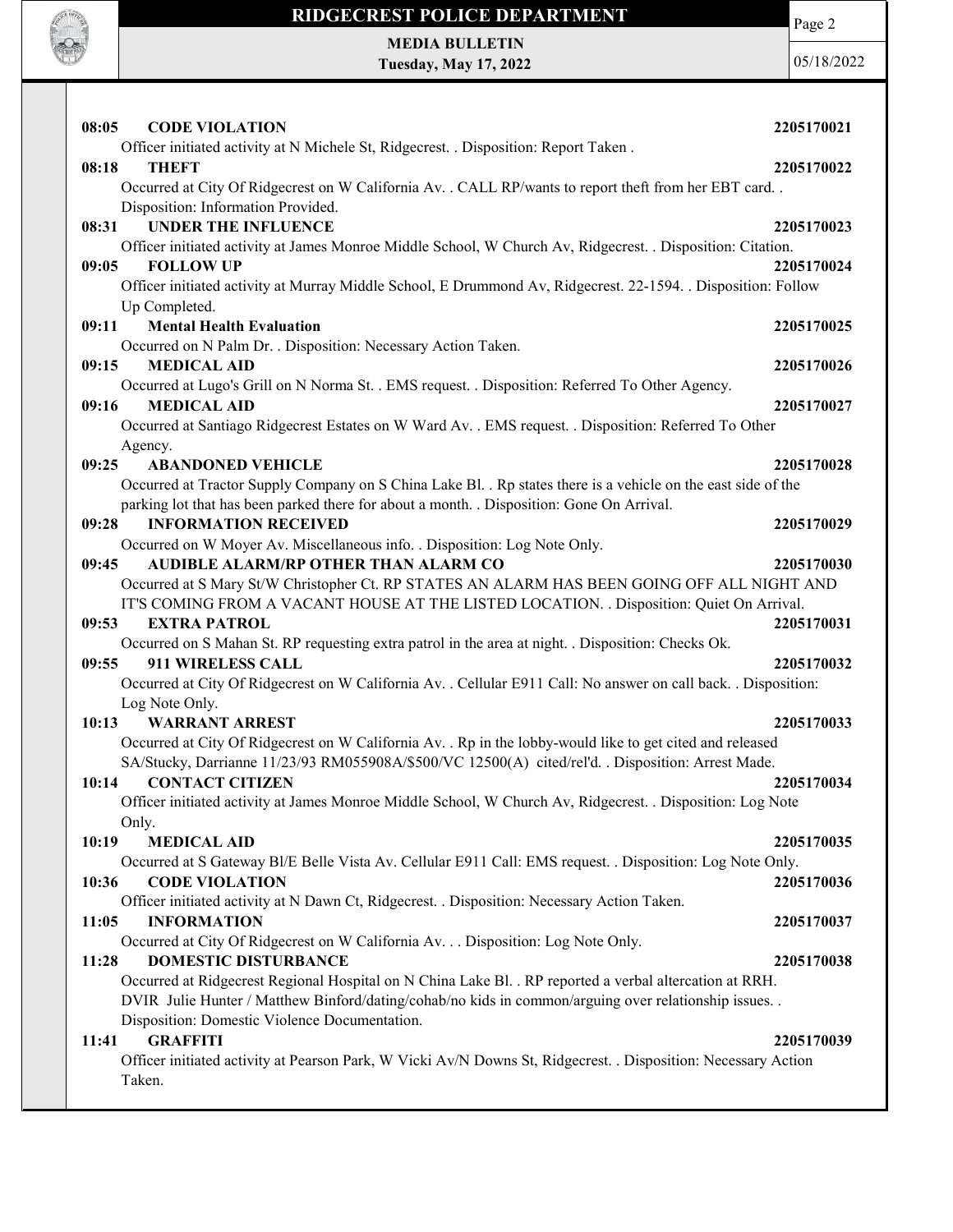

## RIDGECREST POLICE DEPARTMENT MEDIA BULLETIN

Tuesday, May 17, 2022

Page 2

| 08:05<br><b>CODE VIOLATION</b>                                                                                  | 2205170021 |
|-----------------------------------------------------------------------------------------------------------------|------------|
|                                                                                                                 |            |
| Officer initiated activity at N Michele St, Ridgecrest. . Disposition: Report Taken.                            |            |
| 08:18<br><b>THEFT</b>                                                                                           | 2205170022 |
| Occurred at City Of Ridgecrest on W California Av. . CALL RP/wants to report theft from her EBT card. .         |            |
| Disposition: Information Provided.                                                                              |            |
| <b>UNDER THE INFLUENCE</b><br>08:31                                                                             | 2205170023 |
| Officer initiated activity at James Monroe Middle School, W Church Av, Ridgecrest. . Disposition: Citation.     |            |
| <b>FOLLOW UP</b><br>09:05                                                                                       | 2205170024 |
| Officer initiated activity at Murray Middle School, E Drummond Av, Ridgecrest. 22-1594. . Disposition: Follow   |            |
| Up Completed.                                                                                                   |            |
| <b>Mental Health Evaluation</b><br>09:11                                                                        | 2205170025 |
| Occurred on N Palm Dr. . Disposition: Necessary Action Taken.                                                   |            |
| 09:15<br><b>MEDICAL AID</b>                                                                                     | 2205170026 |
| Occurred at Lugo's Grill on N Norma St. . EMS request. . Disposition: Referred To Other Agency.                 |            |
| 09:16<br><b>MEDICAL AID</b>                                                                                     | 2205170027 |
| Occurred at Santiago Ridgecrest Estates on W Ward Av. . EMS request. . Disposition: Referred To Other           |            |
| Agency.                                                                                                         |            |
| 09:25<br><b>ABANDONED VEHICLE</b>                                                                               | 2205170028 |
| Occurred at Tractor Supply Company on S China Lake Bl. . Rp states there is a vehicle on the east side of the   |            |
| parking lot that has been parked there for about a month. . Disposition: Gone On Arrival.                       |            |
| <b>INFORMATION RECEIVED</b>                                                                                     |            |
| 09:28                                                                                                           | 2205170029 |
| Occurred on W Moyer Av. Miscellaneous info. . Disposition: Log Note Only.                                       |            |
| AUDIBLE ALARM/RP OTHER THAN ALARM CO<br>09:45                                                                   | 2205170030 |
| Occurred at S Mary St/W Christopher Ct. RP STATES AN ALARM HAS BEEN GOING OFF ALL NIGHT AND                     |            |
| IT'S COMING FROM A VACANT HOUSE AT THE LISTED LOCATION. . Disposition: Quiet On Arrival.                        |            |
| 09:53<br><b>EXTRA PATROL</b>                                                                                    | 2205170031 |
| Occurred on S Mahan St. RP requesting extra patrol in the area at night. . Disposition: Checks Ok.              |            |
| 911 WIRELESS CALL<br>09:55                                                                                      | 2205170032 |
| Occurred at City Of Ridgecrest on W California Av. . Cellular E911 Call: No answer on call back. . Disposition: |            |
| Log Note Only.                                                                                                  |            |
| 10:13<br><b>WARRANT ARREST</b>                                                                                  | 2205170033 |
| Occurred at City Of Ridgecrest on W California Av. . Rp in the lobby-would like to get cited and released       |            |
| SA/Stucky, Darrianne 11/23/93 RM055908A/\$500/VC 12500(A) cited/rel'd. . Disposition: Arrest Made.              |            |
| 10:14<br><b>CONTACT CITIZEN</b>                                                                                 | 2205170034 |
| Officer initiated activity at James Monroe Middle School, W Church Av, Ridgecrest. . Disposition: Log Note      |            |
| Only.                                                                                                           |            |
| 10:19<br><b>MEDICAL AID</b>                                                                                     | 2205170035 |
| Occurred at S Gateway Bl/E Belle Vista Av. Cellular E911 Call: EMS request. . Disposition: Log Note Only.       |            |
| 10:36<br><b>CODE VIOLATION</b>                                                                                  | 2205170036 |
| Officer initiated activity at N Dawn Ct, Ridgecrest. . Disposition: Necessary Action Taken.                     |            |
| 11:05<br><b>INFORMATION</b>                                                                                     | 2205170037 |
| Occurred at City Of Ridgecrest on W California Av. Disposition: Log Note Only.                                  |            |
|                                                                                                                 |            |
| <b>DOMESTIC DISTURBANCE</b><br>11:28                                                                            | 2205170038 |
| Occurred at Ridgecrest Regional Hospital on N China Lake Bl. . RP reported a verbal altercation at RRH.         |            |
| DVIR Julie Hunter / Matthew Binford/dating/cohab/no kids in common/arguing over relationship issues. .          |            |
| Disposition: Domestic Violence Documentation.                                                                   |            |
| <b>GRAFFITI</b><br>11:41                                                                                        | 2205170039 |
| Officer initiated activity at Pearson Park, W Vicki Av/N Downs St, Ridgecrest. . Disposition: Necessary Action  |            |
| Taken.                                                                                                          |            |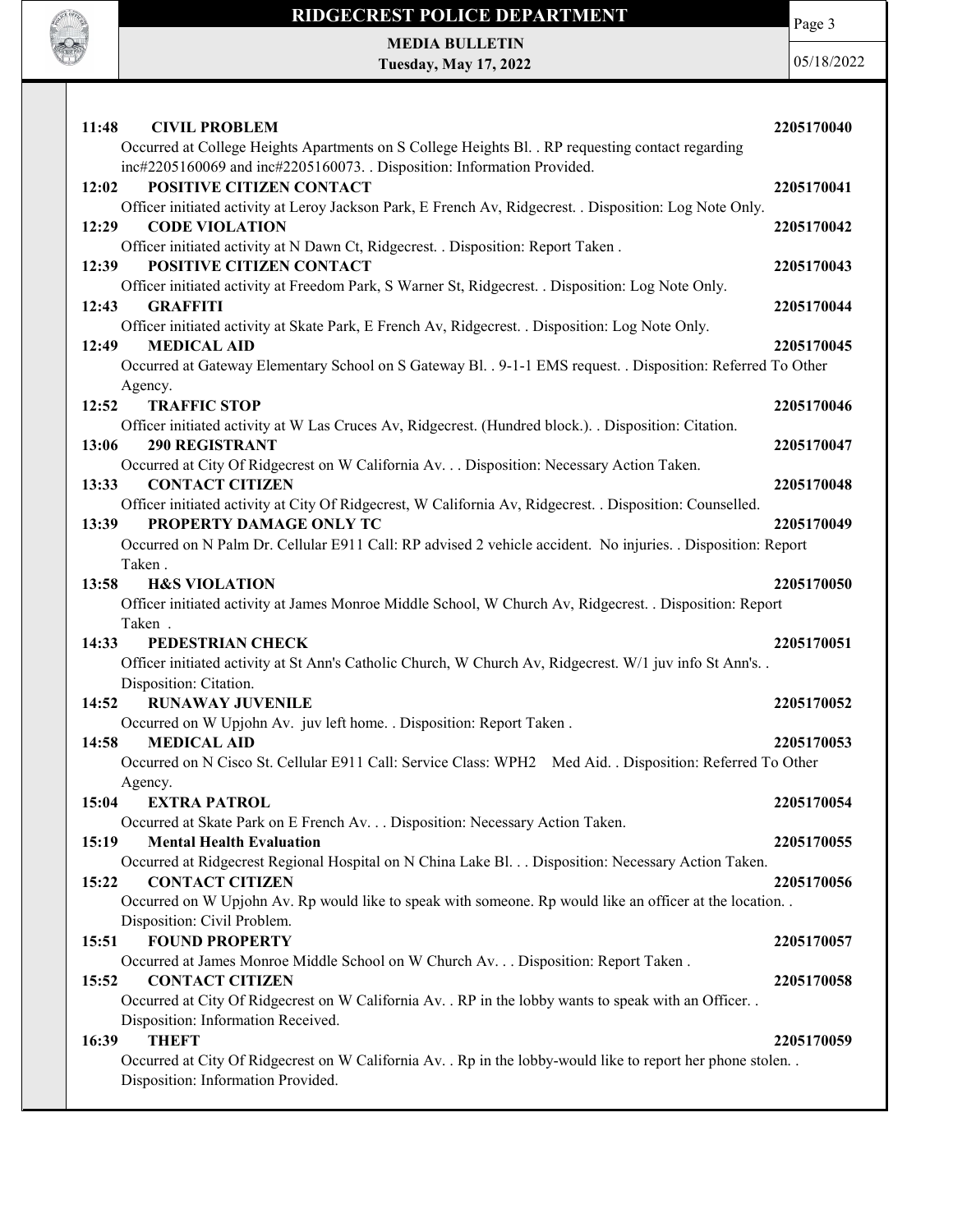

MEDIA BULLETIN Tuesday, May 17, 2022 Page 3

| 11:48<br><b>CIVIL PROBLEM</b>                                                                                                                | 2205170040 |
|----------------------------------------------------------------------------------------------------------------------------------------------|------------|
| Occurred at College Heights Apartments on S College Heights Bl. . RP requesting contact regarding                                            |            |
| inc#2205160069 and inc#2205160073. . Disposition: Information Provided.<br>12:02<br>POSITIVE CITIZEN CONTACT                                 | 2205170041 |
| Officer initiated activity at Leroy Jackson Park, E French Av, Ridgecrest. . Disposition: Log Note Only.                                     |            |
| <b>CODE VIOLATION</b><br>12:29                                                                                                               | 2205170042 |
| Officer initiated activity at N Dawn Ct, Ridgecrest. . Disposition: Report Taken.                                                            |            |
| POSITIVE CITIZEN CONTACT<br>12:39                                                                                                            | 2205170043 |
| Officer initiated activity at Freedom Park, S Warner St, Ridgecrest. . Disposition: Log Note Only.                                           |            |
| <b>GRAFFITI</b><br>12:43                                                                                                                     | 2205170044 |
| Officer initiated activity at Skate Park, E French Av, Ridgecrest. . Disposition: Log Note Only.                                             |            |
| <b>MEDICAL AID</b><br>12:49                                                                                                                  | 2205170045 |
| Occurred at Gateway Elementary School on S Gateway Bl. . 9-1-1 EMS request. . Disposition: Referred To Other                                 |            |
| Agency.                                                                                                                                      |            |
| 12:52<br><b>TRAFFIC STOP</b>                                                                                                                 | 2205170046 |
| Officer initiated activity at W Las Cruces Av, Ridgecrest. (Hundred block.). . Disposition: Citation.                                        |            |
| 13:06<br><b>290 REGISTRANT</b>                                                                                                               | 2205170047 |
| Occurred at City Of Ridgecrest on W California Av. Disposition: Necessary Action Taken.<br><b>CONTACT CITIZEN</b>                            |            |
| 13:33<br>Officer initiated activity at City Of Ridgecrest, W California Av, Ridgecrest. . Disposition: Counselled.                           | 2205170048 |
| PROPERTY DAMAGE ONLY TC<br>13:39                                                                                                             | 2205170049 |
| Occurred on N Palm Dr. Cellular E911 Call: RP advised 2 vehicle accident. No injuries. . Disposition: Report                                 |            |
| Taken.                                                                                                                                       |            |
| 13:58<br><b>H&amp;S VIOLATION</b>                                                                                                            | 2205170050 |
| Officer initiated activity at James Monroe Middle School, W Church Av, Ridgecrest. . Disposition: Report                                     |            |
| Taken.                                                                                                                                       |            |
| 14:33<br>PEDESTRIAN CHECK                                                                                                                    | 2205170051 |
| Officer initiated activity at St Ann's Catholic Church, W Church Av, Ridgecrest. W/1 juv info St Ann's. .                                    |            |
| Disposition: Citation.                                                                                                                       |            |
| 14:52<br><b>RUNAWAY JUVENILE</b>                                                                                                             | 2205170052 |
| Occurred on W Upjohn Av. juv left home. . Disposition: Report Taken.                                                                         |            |
| <b>MEDICAL AID</b><br>14:58                                                                                                                  | 2205170053 |
| Occurred on N Cisco St. Cellular E911 Call: Service Class: WPH2 Med Aid. . Disposition: Referred To Other                                    |            |
| Agency.                                                                                                                                      |            |
| 15:04 EXTRA PATROL                                                                                                                           | 2205170054 |
| Occurred at Skate Park on E French Av. Disposition: Necessary Action Taken.                                                                  |            |
| 15:19<br><b>Mental Health Evaluation</b>                                                                                                     | 2205170055 |
| Occurred at Ridgecrest Regional Hospital on N China Lake Bl. Disposition: Necessary Action Taken.                                            |            |
| 15:22<br><b>CONTACT CITIZEN</b><br>Occurred on W Upjohn Av. Rp would like to speak with someone. Rp would like an officer at the location    | 2205170056 |
| Disposition: Civil Problem.                                                                                                                  |            |
| <b>FOUND PROPERTY</b><br>15:51                                                                                                               | 2205170057 |
|                                                                                                                                              |            |
|                                                                                                                                              |            |
| Occurred at James Monroe Middle School on W Church Av. Disposition: Report Taken .                                                           |            |
| <b>CONTACT CITIZEN</b><br>15:52                                                                                                              | 2205170058 |
| Occurred at City Of Ridgecrest on W California Av. . RP in the lobby wants to speak with an Officer. .<br>Disposition: Information Received. |            |
| <b>THEFT</b><br>16:39                                                                                                                        | 2205170059 |
| Occurred at City Of Ridgecrest on W California Av. . Rp in the lobby-would like to report her phone stolen. .                                |            |
| Disposition: Information Provided.                                                                                                           |            |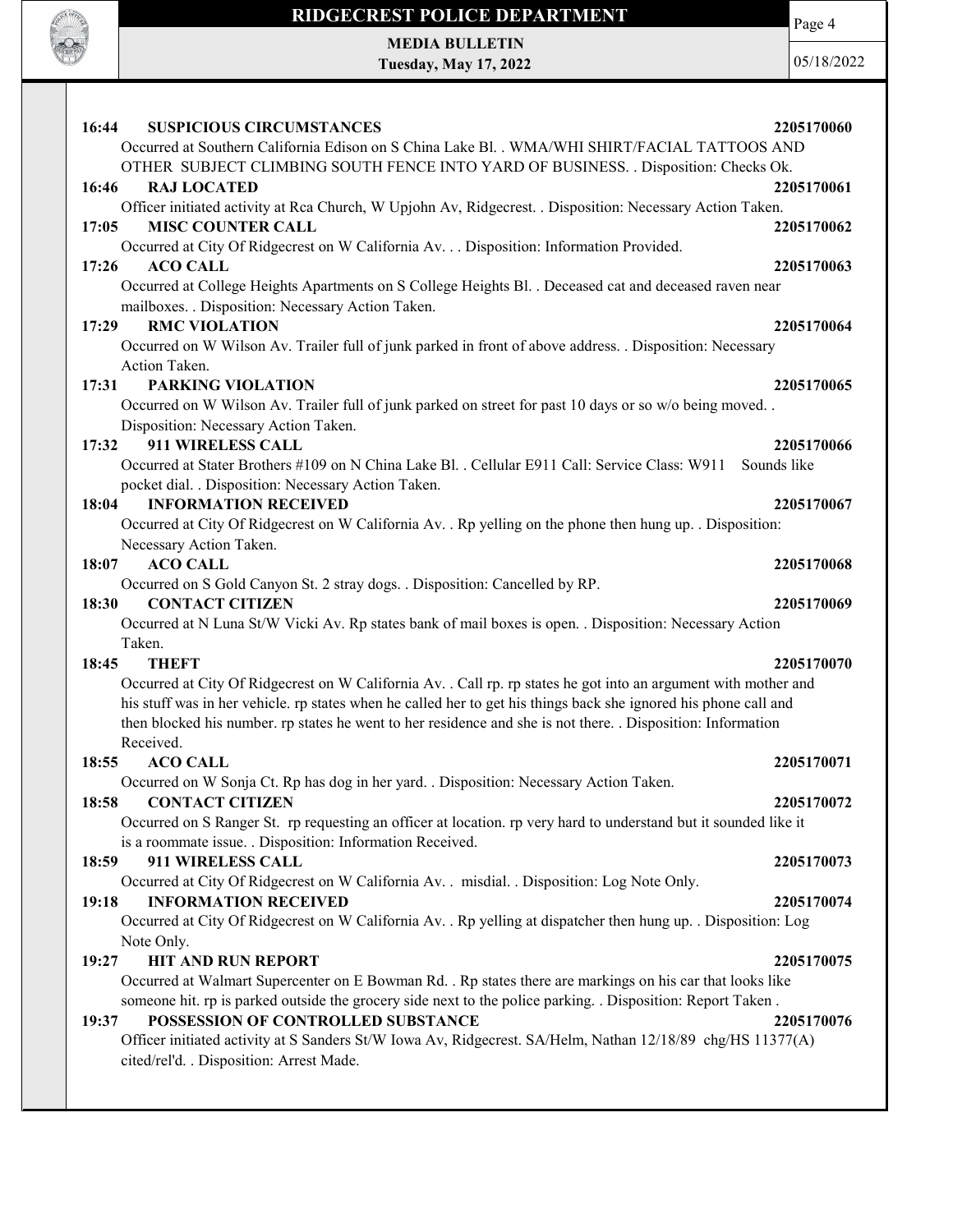

## RIDGECREST POLICE DEPARTMENT MEDIA BULLETIN

Tuesday, May 17, 2022

Page 4

| 16:44<br><b>SUSPICIOUS CIRCUMSTANCES</b>                                                                         | 2205170060  |
|------------------------------------------------------------------------------------------------------------------|-------------|
| Occurred at Southern California Edison on S China Lake Bl. . WMA/WHI SHIRT/FACIAL TATTOOS AND                    |             |
| OTHER SUBJECT CLIMBING SOUTH FENCE INTO YARD OF BUSINESS. . Disposition: Checks Ok.                              |             |
| 16:46<br><b>RAJ LOCATED</b>                                                                                      | 2205170061  |
| Officer initiated activity at Rca Church, W Upjohn Av, Ridgecrest. . Disposition: Necessary Action Taken.        |             |
| <b>MISC COUNTER CALL</b><br>17:05                                                                                | 2205170062  |
| Occurred at City Of Ridgecrest on W California Av. Disposition: Information Provided.                            |             |
| <b>ACO CALL</b><br>17:26                                                                                         | 2205170063  |
| Occurred at College Heights Apartments on S College Heights Bl. . Deceased cat and deceased raven near           |             |
| mailboxes. . Disposition: Necessary Action Taken.                                                                |             |
| <b>RMC VIOLATION</b><br>17:29                                                                                    | 2205170064  |
| Occurred on W Wilson Av. Trailer full of junk parked in front of above address. . Disposition: Necessary         |             |
| Action Taken.                                                                                                    |             |
| <b>PARKING VIOLATION</b><br>17:31                                                                                | 2205170065  |
| Occurred on W Wilson Av. Trailer full of junk parked on street for past 10 days or so w/o being moved            |             |
| Disposition: Necessary Action Taken.                                                                             |             |
| 17:32<br>911 WIRELESS CALL                                                                                       | 2205170066  |
| Occurred at Stater Brothers #109 on N China Lake Bl. . Cellular E911 Call: Service Class: W911                   | Sounds like |
| pocket dial. . Disposition: Necessary Action Taken.                                                              |             |
| <b>INFORMATION RECEIVED</b><br>18:04                                                                             | 2205170067  |
| Occurred at City Of Ridgecrest on W California Av. . Rp yelling on the phone then hung up. . Disposition:        |             |
| Necessary Action Taken.                                                                                          |             |
|                                                                                                                  |             |
| <b>ACO CALL</b><br>18:07                                                                                         | 2205170068  |
| Occurred on S Gold Canyon St. 2 stray dogs. . Disposition: Cancelled by RP.                                      |             |
| <b>CONTACT CITIZEN</b><br>18:30                                                                                  | 2205170069  |
| Occurred at N Luna St/W Vicki Av. Rp states bank of mail boxes is open. . Disposition: Necessary Action          |             |
| Taken.                                                                                                           |             |
| 18:45<br><b>THEFT</b>                                                                                            | 2205170070  |
| Occurred at City Of Ridgecrest on W California Av. . Call rp. rp states he got into an argument with mother and  |             |
| his stuff was in her vehicle. rp states when he called her to get his things back she ignored his phone call and |             |
| then blocked his number. rp states he went to her residence and she is not there. . Disposition: Information     |             |
| Received.                                                                                                        |             |
| <b>ACO CALL</b><br>18:55                                                                                         | 2205170071  |
| Occurred on W Sonja Ct. Rp has dog in her yard. . Disposition: Necessary Action Taken.                           |             |
| 18:58<br><b>CONTACT CITIZEN</b>                                                                                  | 2205170072  |
| Occurred on S Ranger St. rp requesting an officer at location. rp very hard to understand but it sounded like it |             |
| is a roommate issue. . Disposition: Information Received.                                                        |             |
| 911 WIRELESS CALL<br>18:59                                                                                       | 2205170073  |
| Occurred at City Of Ridgecrest on W California Av. . misdial. . Disposition: Log Note Only.                      |             |
| <b>INFORMATION RECEIVED</b><br>19:18                                                                             | 2205170074  |
| Occurred at City Of Ridgecrest on W California Av. . Rp yelling at dispatcher then hung up. . Disposition: Log   |             |
| Note Only.                                                                                                       |             |
| <b>HIT AND RUN REPORT</b><br>19:27                                                                               | 2205170075  |
| Occurred at Walmart Supercenter on E Bowman Rd. . Rp states there are markings on his car that looks like        |             |
| someone hit. rp is parked outside the grocery side next to the police parking. . Disposition: Report Taken.      |             |
| POSSESSION OF CONTROLLED SUBSTANCE<br>19:37                                                                      | 2205170076  |
| Officer initiated activity at S Sanders St/W Iowa Av, Ridgecrest. SA/Helm, Nathan 12/18/89 chg/HS 11377(A)       |             |
| cited/rel'd. . Disposition: Arrest Made.                                                                         |             |
|                                                                                                                  |             |
|                                                                                                                  |             |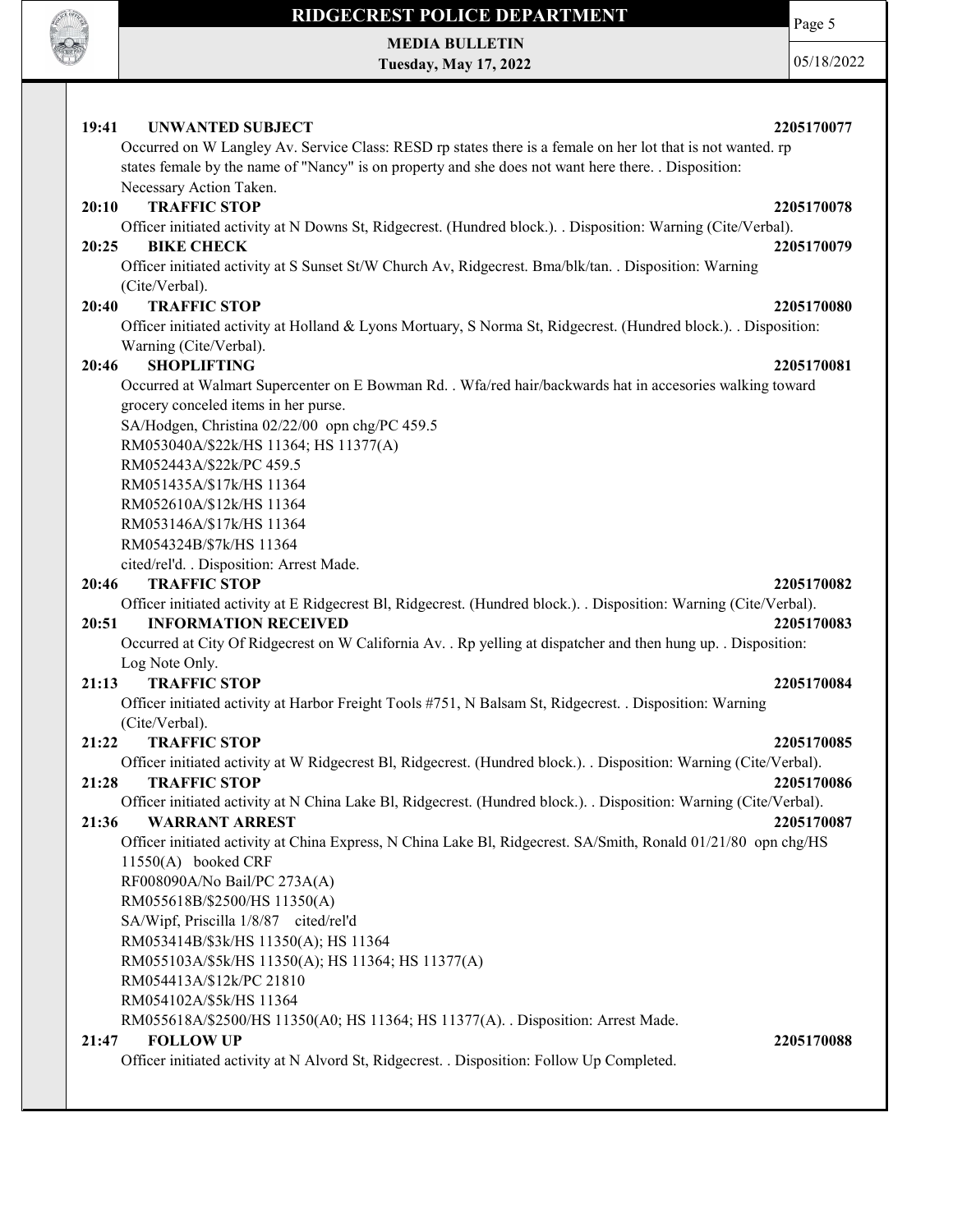

MEDIA BULLETIN Tuesday, May 17, 2022 Page 5

05/18/2022

19:41 UNWANTED SUBJECT 2205170077 Occurred on W Langley Av. Service Class: RESD rp states there is a female on her lot that is not wanted. rp states female by the name of "Nancy" is on property and she does not want here there. . Disposition: Necessary Action Taken. 20:10 TRAFFIC STOP 2205170078 Officer initiated activity at N Downs St, Ridgecrest. (Hundred block.). . Disposition: Warning (Cite/Verbal). 20:25 BIKE CHECK 2205170079 Officer initiated activity at S Sunset St/W Church Av, Ridgecrest. Bma/blk/tan. . Disposition: Warning (Cite/Verbal). 20:40 TRAFFIC STOP 2205170080 Officer initiated activity at Holland & Lyons Mortuary, S Norma St, Ridgecrest. (Hundred block.). . Disposition: Warning (Cite/Verbal). 20:46 SHOPLIFTING 2205170081 Occurred at Walmart Supercenter on E Bowman Rd. . Wfa/red hair/backwards hat in accesories walking toward grocery conceled items in her purse. SA/Hodgen, Christina 02/22/00 opn chg/PC 459.5 RM053040A/\$22k/HS 11364; HS 11377(A) RM052443A/\$22k/PC 459.5 RM051435A/\$17k/HS 11364 RM052610A/\$12k/HS 11364 RM053146A/\$17k/HS 11364 RM054324B/\$7k/HS 11364 cited/rel'd. . Disposition: Arrest Made. 20:46 TRAFFIC STOP 2205170082 Officer initiated activity at E Ridgecrest Bl, Ridgecrest. (Hundred block.). . Disposition: Warning (Cite/Verbal). 20:51 INFORMATION RECEIVED 2205170083 Occurred at City Of Ridgecrest on W California Av. . Rp yelling at dispatcher and then hung up. . Disposition: Log Note Only. 21:13 TRAFFIC STOP 2205170084 Officer initiated activity at Harbor Freight Tools #751, N Balsam St, Ridgecrest. . Disposition: Warning (Cite/Verbal). 21:22 TRAFFIC STOP 2205170085 Officer initiated activity at W Ridgecrest Bl, Ridgecrest. (Hundred block.). . Disposition: Warning (Cite/Verbal). 21:28 TRAFFIC STOP 2205170086 Officer initiated activity at N China Lake Bl, Ridgecrest. (Hundred block.). . Disposition: Warning (Cite/Verbal). 21:36 WARRANT ARREST 2205170087 Officer initiated activity at China Express, N China Lake Bl, Ridgecrest. SA/Smith, Ronald 01/21/80 opn chg/HS 11550(A) booked CRF RF008090A/No Bail/PC 273A(A) RM055618B/\$2500/HS 11350(A) SA/Wipf, Priscilla 1/8/87 cited/rel'd RM053414B/\$3k/HS 11350(A); HS 11364 RM055103A/\$5k/HS 11350(A); HS 11364; HS 11377(A) RM054413A/\$12k/PC 21810 RM054102A/\$5k/HS 11364 RM055618A/\$2500/HS 11350(A0; HS 11364; HS 11377(A). . Disposition: Arrest Made. 21:47 FOLLOW UP 2205170088 Officer initiated activity at N Alvord St, Ridgecrest. . Disposition: Follow Up Completed.